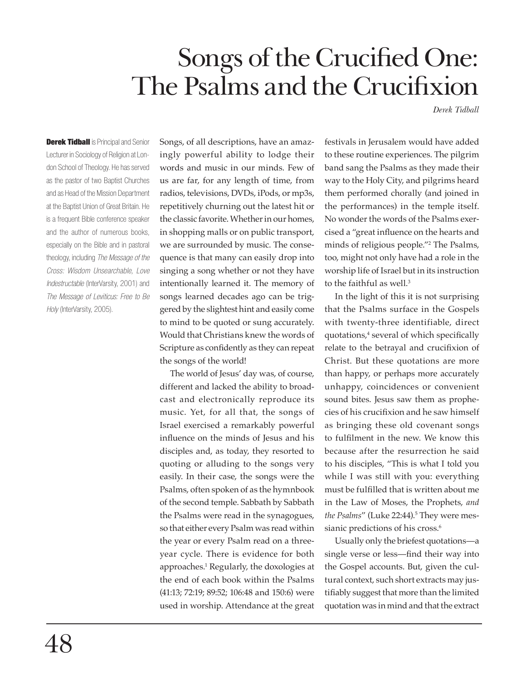# Songs of the Crucified One: The Psalms and the Crucifixion

*Derek Tidball*

**Derek Tidball** is Principal and Senior Lecturer in Sociology of Religion at London School of Theology. He has served as the pastor of two Baptist Churches and as Head of the Mission Department at the Baptist Union of Great Britain. He is a frequent Bible conference speaker and the author of numerous books, especially on the Bible and in pastoral theology, including *The Message of the Cross: Wisdom Unsearchable, Love Indestructable* (InterVarsity, 2001) and *The Message of Leviticus: Free to Be Holy* (InterVarsity, 2005).

Songs, of all descriptions, have an amazingly powerful ability to lodge their words and music in our minds. Few of us are far, for any length of time, from radios, televisions, DVDs, iPods, or mp3s, repetitively churning out the latest hit or the classic favorite. Whether in our homes, in shopping malls or on public transport, we are surrounded by music. The consequence is that many can easily drop into singing a song whether or not they have intentionally learned it. The memory of songs learned decades ago can be triggered by the slightest hint and easily come to mind to be quoted or sung accurately. Would that Christians knew the words of Scripture as confidently as they can repeat the songs of the world!

The world of Jesus' day was, of course, different and lacked the ability to broadcast and electronically reproduce its music. Yet, for all that, the songs of Israel exercised a remarkably powerful influence on the minds of Jesus and his disciples and, as today, they resorted to quoting or alluding to the songs very easily. In their case, the songs were the Psalms, often spoken of as the hymnbook of the second temple. Sabbath by Sabbath the Psalms were read in the synagogues, so that either every Psalm was read within the year or every Psalm read on a threeyear cycle. There is evidence for both approaches.1 Regularly, the doxologies at the end of each book within the Psalms (41:13; 72:19; 89:52; 106:48 and 150:6) were used in worship. Attendance at the great

festivals in Jerusalem would have added to these routine experiences. The pilgrim band sang the Psalms as they made their way to the Holy City, and pilgrims heard them performed chorally (and joined in the performances) in the temple itself. No wonder the words of the Psalms exercised a "great influence on the hearts and minds of religious people."2 The Psalms, too, might not only have had a role in the worship life of Israel but in its instruction to the faithful as well.<sup>3</sup>

In the light of this it is not surprising that the Psalms surface in the Gospels with twenty-three identifiable, direct quotations,<sup>4</sup> several of which specifically relate to the betrayal and crucifixion of Christ. But these quotations are more than happy, or perhaps more accurately unhappy, coincidences or convenient sound bites. Jesus saw them as prophecies of his crucifixion and he saw himself as bringing these old covenant songs to fulfilment in the new. We know this because after the resurrection he said to his disciples, "This is what I told you while I was still with you: everything must be fulfilled that is written about me in the Law of Moses, the Prophets, *and the Psalms"* (Luke 22:44).<sup>5</sup> They were messianic predictions of his cross.<sup>6</sup>

Usually only the briefest quotations—a single verse or less—find their way into the Gospel accounts. But, given the cultural context, such short extracts may justifiably suggest that more than the limited quotation was in mind and that the extract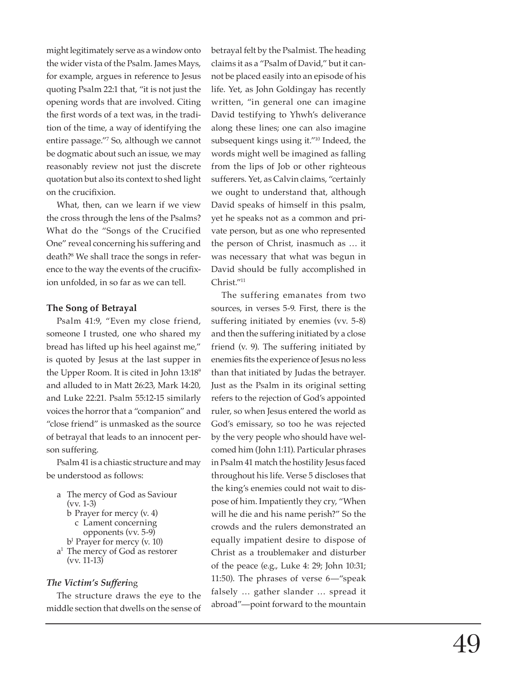might legitimately serve as a window onto the wider vista of the Psalm. James Mays, for example, argues in reference to Jesus quoting Psalm 22:1 that, "it is not just the opening words that are involved. Citing the first words of a text was, in the tradition of the time, a way of identifying the entire passage."7 So, although we cannot be dogmatic about such an issue, we may reasonably review not just the discrete quotation but also its context to shed light on the crucifixion.

What, then, can we learn if we view the cross through the lens of the Psalms? What do the "Songs of the Crucified One" reveal concerning his suffering and death?8 We shall trace the songs in reference to the way the events of the crucifixion unfolded, in so far as we can tell.

## **The Song of Betrayal**

Psalm 41:9, "Even my close friend, someone I trusted, one who shared my bread has lifted up his heel against me," is quoted by Jesus at the last supper in the Upper Room. It is cited in John 13:189 and alluded to in Matt 26:23, Mark 14:20, and Luke 22:21. Psalm 55:12-15 similarly voices the horror that a "companion" and "close friend" is unmasked as the source of betrayal that leads to an innocent person suffering.

Psalm 41 is a chiastic structure and may be understood as follows:

- a The mercy of God as Saviour (vv. 1-3)
	- b Prayer for mercy (v. 4)
	- c Lament concerning
	- opponents (vv. 5-9)
- b1 Prayer for mercy (v. 10) a1 The mercy of God as restorer
- (vv. 11-13)

#### *The Victim's Sufferi*ng

The structure draws the eye to the middle section that dwells on the sense of betrayal felt by the Psalmist. The heading claims it as a "Psalm of David," but it cannot be placed easily into an episode of his life. Yet, as John Goldingay has recently written, "in general one can imagine David testifying to Yhwh's deliverance along these lines; one can also imagine subsequent kings using it."10 Indeed, the words might well be imagined as falling from the lips of Job or other righteous sufferers. Yet, as Calvin claims, "certainly we ought to understand that, although David speaks of himself in this psalm, yet he speaks not as a common and private person, but as one who represented the person of Christ, inasmuch as … it was necessary that what was begun in David should be fully accomplished in Christ."11

The suffering emanates from two sources, in verses 5-9. First, there is the suffering initiated by enemies (vv. 5-8) and then the suffering initiated by a close friend (v. 9). The suffering initiated by enemies fits the experience of Jesus no less than that initiated by Judas the betrayer. Just as the Psalm in its original setting refers to the rejection of God's appointed ruler, so when Jesus entered the world as God's emissary, so too he was rejected by the very people who should have welcomed him (John 1:11). Particular phrases in Psalm 41 match the hostility Jesus faced throughout his life. Verse 5 discloses that the king's enemies could not wait to dispose of him. Impatiently they cry, "When will he die and his name perish?" So the crowds and the rulers demonstrated an equally impatient desire to dispose of Christ as a troublemaker and disturber of the peace (e.g., Luke 4: 29; John 10:31; 11:50). The phrases of verse 6—"speak falsely … gather slander … spread it abroad"—point forward to the mountain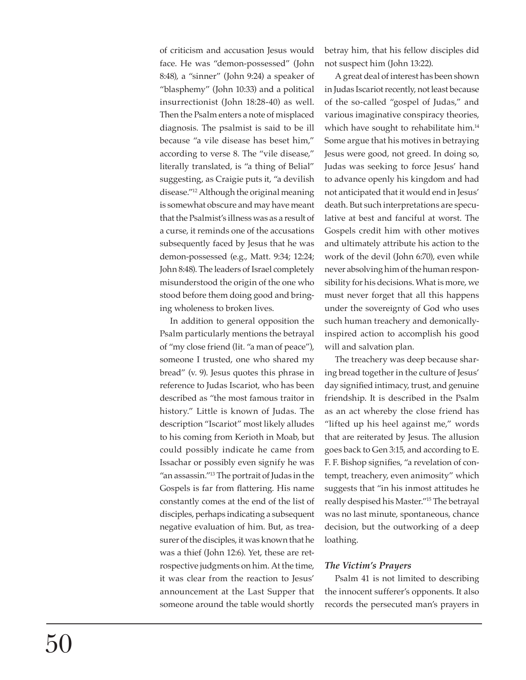of criticism and accusation Jesus would face. He was "demon-possessed" (John 8:48), a "sinner" (John 9:24) a speaker of "blasphemy" (John 10:33) and a political insurrectionist (John 18:28-40) as well. Then the Psalm enters a note of misplaced diagnosis. The psalmist is said to be ill because "a vile disease has beset him," according to verse 8. The "vile disease," literally translated, is "a thing of Belial" suggesting, as Craigie puts it, "a devilish disease."12 Although the original meaning is somewhat obscure and may have meant that the Psalmist's illness was as a result of a curse, it reminds one of the accusations subsequently faced by Jesus that he was demon-possessed (e.g., Matt. 9:34; 12:24; John 8:48). The leaders of Israel completely misunderstood the origin of the one who stood before them doing good and bringing wholeness to broken lives.

In addition to general opposition the Psalm particularly mentions the betrayal of "my close friend (lit. "a man of peace"), someone I trusted, one who shared my bread" (v. 9). Jesus quotes this phrase in reference to Judas Iscariot, who has been described as "the most famous traitor in history." Little is known of Judas. The description "Iscariot" most likely alludes to his coming from Kerioth in Moab, but could possibly indicate he came from Issachar or possibly even signify he was "an assassin."13 The portrait of Judas in the Gospels is far from flattering. His name constantly comes at the end of the list of disciples, perhaps indicating a subsequent negative evaluation of him. But, as treasurer of the disciples, it was known that he was a thief (John 12:6). Yet, these are retrospective judgments on him. At the time, it was clear from the reaction to Jesus' announcement at the Last Supper that someone around the table would shortly

betray him, that his fellow disciples did not suspect him (John 13:22).

A great deal of interest has been shown in Judas Iscariot recently, not least because of the so-called "gospel of Judas," and various imaginative conspiracy theories, which have sought to rehabilitate him.<sup>14</sup> Some argue that his motives in betraying Jesus were good, not greed. In doing so, Judas was seeking to force Jesus' hand to advance openly his kingdom and had not anticipated that it would end in Jesus' death. But such interpretations are speculative at best and fanciful at worst. The Gospels credit him with other motives and ultimately attribute his action to the work of the devil (John 6:70), even while never absolving him of the human responsibility for his decisions. What is more, we must never forget that all this happens under the sovereignty of God who uses such human treachery and demonicallyinspired action to accomplish his good will and salvation plan.

The treachery was deep because sharing bread together in the culture of Jesus' day signified intimacy, trust, and genuine friendship. It is described in the Psalm as an act whereby the close friend has "lifted up his heel against me," words that are reiterated by Jesus. The allusion goes back to Gen 3:15, and according to E. F. F. Bishop signifies, "a revelation of contempt, treachery, even animosity" which suggests that "in his inmost attitudes he really despised his Master."15 The betrayal was no last minute, spontaneous, chance decision, but the outworking of a deep loathing.

## *The Victim's Prayers*

Psalm 41 is not limited to describing the innocent sufferer's opponents. It also records the persecuted man's prayers in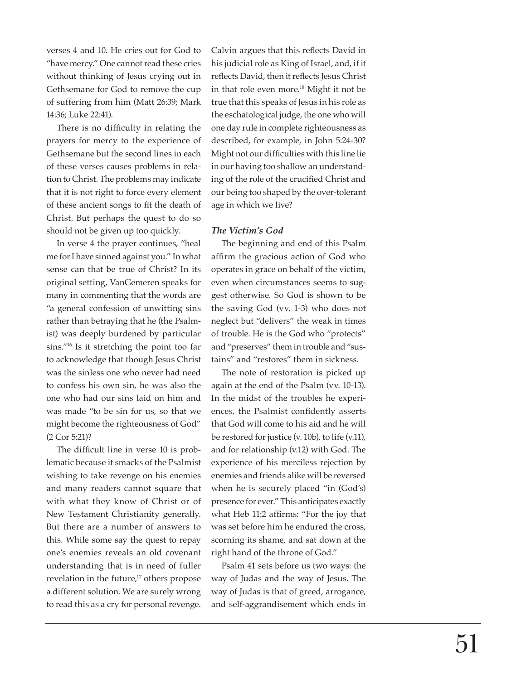verses 4 and 10. He cries out for God to "have mercy." One cannot read these cries without thinking of Jesus crying out in Gethsemane for God to remove the cup of suffering from him (Matt 26:39; Mark 14:36; Luke 22:41).

There is no difficulty in relating the prayers for mercy to the experience of Gethsemane but the second lines in each of these verses causes problems in relation to Christ. The problems may indicate that it is not right to force every element of these ancient songs to fit the death of Christ. But perhaps the quest to do so should not be given up too quickly.

In verse 4 the prayer continues, "heal me for I have sinned against you." In what sense can that be true of Christ? In its original setting, VanGemeren speaks for many in commenting that the words are "a general confession of unwitting sins rather than betraying that he (the Psalmist) was deeply burdened by particular sins."16 Is it stretching the point too far to acknowledge that though Jesus Christ was the sinless one who never had need to confess his own sin, he was also the one who had our sins laid on him and was made "to be sin for us, so that we might become the righteousness of God" (2 Cor 5:21)?

The difficult line in verse 10 is problematic because it smacks of the Psalmist wishing to take revenge on his enemies and many readers cannot square that with what they know of Christ or of New Testament Christianity generally. But there are a number of answers to this. While some say the quest to repay one's enemies reveals an old covenant understanding that is in need of fuller revelation in the future,<sup>17</sup> others propose a different solution. We are surely wrong to read this as a cry for personal revenge.

Calvin argues that this reflects David in his judicial role as King of Israel, and, if it reflects David, then it reflects Jesus Christ in that role even more.18 Might it not be true that this speaks of Jesus in his role as the eschatological judge, the one who will one day rule in complete righteousness as described, for example, in John 5:24-30? Might not our difficulties with this line lie in our having too shallow an understanding of the role of the crucified Christ and our being too shaped by the over-tolerant age in which we live?

#### *The Victim's God*

The beginning and end of this Psalm affirm the gracious action of God who operates in grace on behalf of the victim, even when circumstances seems to suggest otherwise. So God is shown to be the saving God (vv. 1-3) who does not neglect but "delivers" the weak in times of trouble. He is the God who "protects" and "preserves" them in trouble and "sustains" and "restores" them in sickness.

The note of restoration is picked up again at the end of the Psalm (vv. 10-13). In the midst of the troubles he experiences, the Psalmist confidently asserts that God will come to his aid and he will be restored for justice (v. 10b), to life (v.11), and for relationship (v.12) with God. The experience of his merciless rejection by enemies and friends alike will be reversed when he is securely placed "in (God's) presence for ever." This anticipates exactly what Heb 11:2 affirms: "For the joy that was set before him he endured the cross, scorning its shame, and sat down at the right hand of the throne of God."

Psalm 41 sets before us two ways: the way of Judas and the way of Jesus. The way of Judas is that of greed, arrogance, and self-aggrandisement which ends in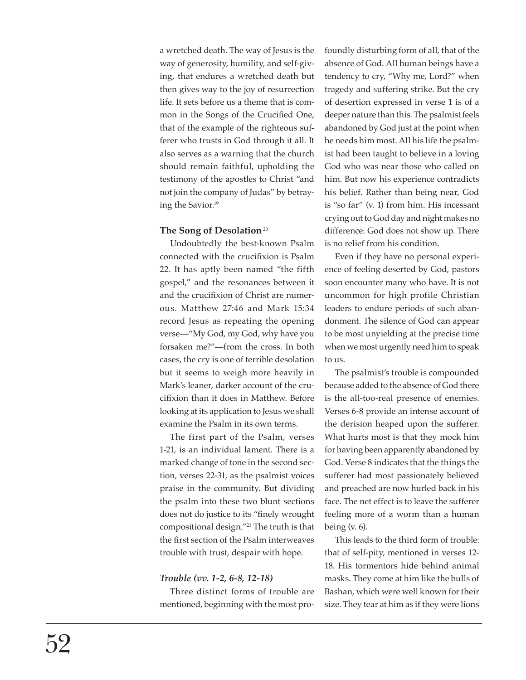a wretched death. The way of Jesus is the way of generosity, humility, and self-giving, that endures a wretched death but then gives way to the joy of resurrection life. It sets before us a theme that is common in the Songs of the Crucified One, that of the example of the righteous sufferer who trusts in God through it all. It also serves as a warning that the church should remain faithful, upholding the testimony of the apostles to Christ "and not join the company of Judas" by betraying the Savior.19

#### The Song of Desolation<sup>20</sup>

Undoubtedly the best-known Psalm connected with the crucifixion is Psalm 22. It has aptly been named "the fifth gospel," and the resonances between it and the crucifixion of Christ are numerous. Matthew 27:46 and Mark 15:34 record Jesus as repeating the opening verse—"My God, my God, why have you forsaken me?"—from the cross. In both cases, the cry is one of terrible desolation but it seems to weigh more heavily in Mark's leaner, darker account of the crucifi xion than it does in Matthew. Before looking at its application to Jesus we shall examine the Psalm in its own terms.

The first part of the Psalm, verses 1-21, is an individual lament. There is a marked change of tone in the second section, verses 22-31, as the psalmist voices praise in the community. But dividing the psalm into these two blunt sections does not do justice to its "finely wrought compositional design."21 The truth is that the first section of the Psalm interweaves trouble with trust, despair with hope.

## *Trouble (vv. 1-2, 6-8, 12-18)*

Three distinct forms of trouble are mentioned, beginning with the most profoundly disturbing form of all, that of the absence of God. All human beings have a tendency to cry, "Why me, Lord?" when tragedy and suffering strike. But the cry of desertion expressed in verse 1 is of a deeper nature than this. The psalmist feels abandoned by God just at the point when he needs him most. All his life the psalmist had been taught to believe in a loving God who was near those who called on him. But now his experience contradicts his belief. Rather than being near, God is "so far" (v. 1) from him. His incessant crying out to God day and night makes no difference: God does not show up. There is no relief from his condition.

Even if they have no personal experience of feeling deserted by God, pastors soon encounter many who have. It is not uncommon for high profile Christian leaders to endure periods of such abandonment. The silence of God can appear to be most unyielding at the precise time when we most urgently need him to speak to us.

The psalmist's trouble is compounded because added to the absence of God there is the all-too-real presence of enemies. Verses 6-8 provide an intense account of the derision heaped upon the sufferer. What hurts most is that they mock him for having been apparently abandoned by God. Verse 8 indicates that the things the sufferer had most passionately believed and preached are now hurled back in his face. The net effect is to leave the sufferer feeling more of a worm than a human being (v. 6).

This leads to the third form of trouble: that of self-pity, mentioned in verses 12- 18. His tormentors hide behind animal masks. They come at him like the bulls of Bashan, which were well known for their size. They tear at him as if they were lions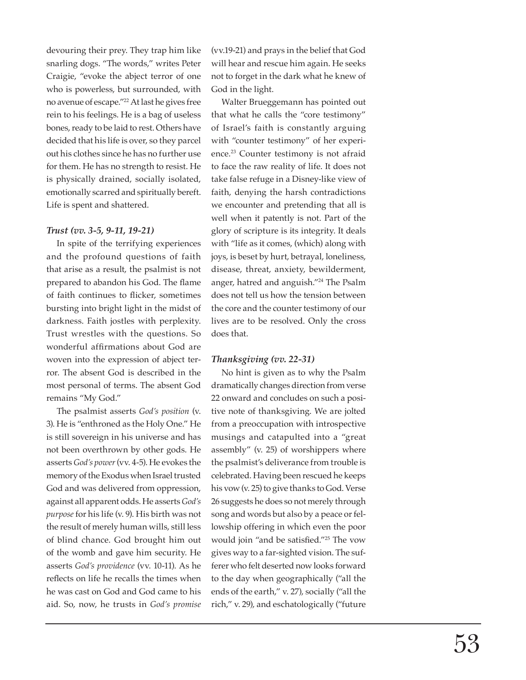devouring their prey. They trap him like snarling dogs. "The words," writes Peter Craigie, "evoke the abject terror of one who is powerless, but surrounded, with no avenue of escape."22 At last he gives free rein to his feelings. He is a bag of useless bones, ready to be laid to rest. Others have decided that his life is over, so they parcel out his clothes since he has no further use for them. He has no strength to resist. He is physically drained, socially isolated, emotionally scarred and spiritually bereft. Life is spent and shattered.

#### *Trust (vv. 3-5, 9-11, 19-21)*

In spite of the terrifying experiences and the profound questions of faith that arise as a result, the psalmist is not prepared to abandon his God. The flame of faith continues to flicker, sometimes bursting into bright light in the midst of darkness. Faith jostles with perplexity. Trust wrestles with the questions. So wonderful affirmations about God are woven into the expression of abject terror. The absent God is described in the most personal of terms. The absent God remains "My God."

The psalmist asserts *God's position* (v. 3). He is "enthroned as the Holy One." He is still sovereign in his universe and has not been overthrown by other gods. He asserts *God's power* (vv. 4-5). He evokes the memory of the Exodus when Israel trusted God and was delivered from oppression, against all apparent odds. He asserts *God's purpose* for his life (v. 9). His birth was not the result of merely human wills, still less of blind chance. God brought him out of the womb and gave him security. He asserts *God's providence* (vv. 10-11). As he reflects on life he recalls the times when he was cast on God and God came to his aid. So, now, he trusts in *God's promise*  (vv.19-21) and prays in the belief that God will hear and rescue him again. He seeks not to forget in the dark what he knew of God in the light.

Walter Brueggemann has pointed out that what he calls the "core testimony" of Israel's faith is constantly arguing with "counter testimony" of her experience.23 Counter testimony is not afraid to face the raw reality of life. It does not take false refuge in a Disney-like view of faith, denying the harsh contradictions we encounter and pretending that all is well when it patently is not. Part of the glory of scripture is its integrity. It deals with "life as it comes, (which) along with joys, is beset by hurt, betrayal, loneliness, disease, threat, anxiety, bewilderment, anger, hatred and anguish."24 The Psalm does not tell us how the tension between the core and the counter testimony of our lives are to be resolved. Only the cross does that.

# *Thanksgiving (vv. 22-31)*

No hint is given as to why the Psalm dramatically changes direction from verse 22 onward and concludes on such a positive note of thanksgiving. We are jolted from a preoccupation with introspective musings and catapulted into a "great assembly" (v. 25) of worshippers where the psalmist's deliverance from trouble is celebrated. Having been rescued he keeps his vow (v. 25) to give thanks to God. Verse 26 suggests he does so not merely through song and words but also by a peace or fellowship offering in which even the poor would join "and be satisfied."<sup>25</sup> The vow gives way to a far-sighted vision. The sufferer who felt deserted now looks forward to the day when geographically ("all the ends of the earth," v. 27), socially ("all the rich," v. 29), and eschatologically ("future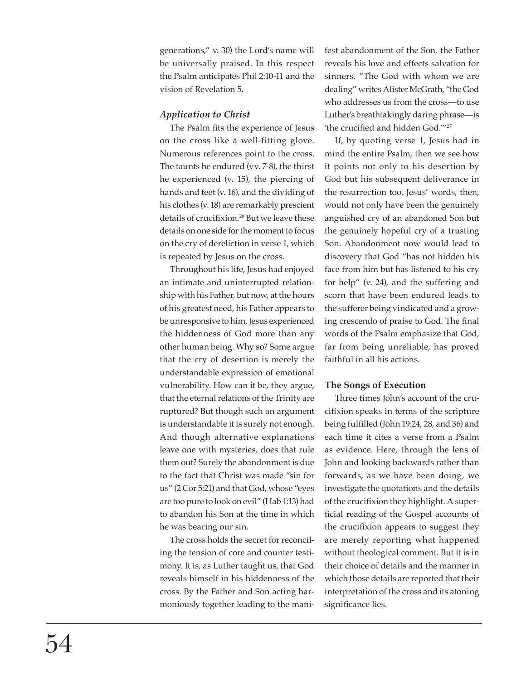generations," v. 30) the Lord's name will be universally praised. In this respect the Psalm anticipates Phil 2:10-11 and the vision of Revelation 5.

## *Application to Christ*

The Psalm fits the experience of Jesus on the cross like a well-fitting glove. Numerous references point to the cross. The taunts he endured (vv. 7-8), the thirst he experienced (v. 15), the piercing of hands and feet (v. 16), and the dividing of his clothes (v. 18) are remarkably prescient details of crucifixion.<sup>26</sup> But we leave these details on one side for the moment to focus on the cry of dereliction in verse 1, which is repeated by Jesus on the cross.

Throughout his life, Jesus had enjoyed an intimate and uninterrupted relationship with his Father, but now, at the hours of his greatest need, his Father appears to be unresponsive to him. Jesus experienced the hiddenness of God more than any other human being. Why so? Some argue that the cry of desertion is merely the understandable expression of emotional vulnerability. How can it be, they argue, that the eternal relations of the Trinity are ruptured? But though such an argument is understandable it is surely not enough. And though alternative explanations leave one with mysteries, does that rule them out? Surely the abandonment is due to the fact that Christ was made "sin for us" (2 Cor 5:21) and that God, whose "eyes are too pure to look on evil" (Hab 1:13) had to abandon his Son at the time in which he was bearing our sin.

The cross holds the secret for reconciling the tension of core and counter testimony. It is, as Luther taught us, that God reveals himself in his hiddenness of the cross. By the Father and Son acting harmoniously together leading to the manifest abandonment of the Son, the Father reveals his love and effects salvation for sinners. "The God with whom we are dealing" writes Alister McGrath, "the God who addresses us from the cross—to use Luther's breathtakingly daring phrase—is 'the crucified and hidden God."<sup>27</sup>

If, by quoting verse 1, Jesus had in mind the entire Psalm, then we see how it points not only to his desertion by God but his subsequent deliverance in the resurrection too. Jesus' words, then, would not only have been the genuinely anguished cry of an abandoned Son but the genuinely hopeful cry of a trusting Son. Abandonment now would lead to discovery that God "has not hidden his face from him but has listened to his cry for help" (v. 24), and the suffering and scorn that have been endured leads to the sufferer being vindicated and a growing crescendo of praise to God. The final words of the Psalm emphasize that God, far from being unreliable, has proved faithful in all his actions.

## **The Songs of Execution**

Three times John's account of the crucifixion speaks in terms of the scripture being fulfilled (John 19:24, 28, and 36) and each time it cites a verse from a Psalm as evidence. Here, through the lens of John and looking backwards rather than forwards, as we have been doing, we investigate the quotations and the details of the crucifixion they highlight. A superficial reading of the Gospel accounts of the crucifixion appears to suggest they are merely reporting what happened without theological comment. But it is in their choice of details and the manner in which those details are reported that their interpretation of the cross and its atoning significance lies.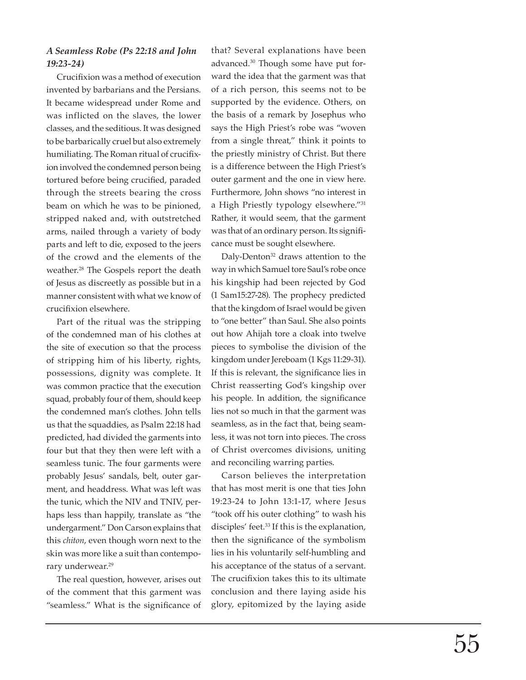# *A Seamless Robe (Ps 22:18 and John 19:23-24)*

Crucifixion was a method of execution invented by barbarians and the Persians. It became widespread under Rome and was inflicted on the slaves, the lower classes, and the seditious. It was designed to be barbarically cruel but also extremely humiliating. The Roman ritual of crucifixion involved the condemned person being tortured before being crucified, paraded through the streets bearing the cross beam on which he was to be pinioned, stripped naked and, with outstretched arms, nailed through a variety of body parts and left to die, exposed to the jeers of the crowd and the elements of the weather.<sup>28</sup> The Gospels report the death of Jesus as discreetly as possible but in a manner consistent with what we know of crucifixion elsewhere.

Part of the ritual was the stripping of the condemned man of his clothes at the site of execution so that the process of stripping him of his liberty, rights, possessions, dignity was complete. It was common practice that the execution squad, probably four of them, should keep the condemned man's clothes. John tells us that the squaddies, as Psalm 22:18 had predicted, had divided the garments into four but that they then were left with a seamless tunic. The four garments were probably Jesus' sandals, belt, outer garment, and headdress. What was left was the tunic, which the NIV and TNIV, perhaps less than happily, translate as "the undergarment." Don Carson explains that this *chiton*, even though worn next to the skin was more like a suit than contemporary underwear.29

The real question, however, arises out of the comment that this garment was "seamless." What is the significance of

that? Several explanations have been advanced.30 Though some have put forward the idea that the garment was that of a rich person, this seems not to be supported by the evidence. Others, on the basis of a remark by Josephus who says the High Priest's robe was "woven from a single threat," think it points to the priestly ministry of Christ. But there is a difference between the High Priest's outer garment and the one in view here. Furthermore, John shows "no interest in a High Priestly typology elsewhere."31 Rather, it would seem, that the garment was that of an ordinary person. Its significance must be sought elsewhere.

Daly-Denton<sup>32</sup> draws attention to the way in which Samuel tore Saul's robe once his kingship had been rejected by God (1 Sam15:27-28). The prophecy predicted that the kingdom of Israel would be given to "one better" than Saul. She also points out how Ahijah tore a cloak into twelve pieces to symbolise the division of the kingdom under Jereboam (1 Kgs 11:29-31). If this is relevant, the significance lies in Christ reasserting God's kingship over his people. In addition, the significance lies not so much in that the garment was seamless, as in the fact that, being seamless, it was not torn into pieces. The cross of Christ overcomes divisions, uniting and reconciling warring parties.

Carson believes the interpretation that has most merit is one that ties John 19:23-24 to John 13:1-17, where Jesus "took off his outer clothing" to wash his disciples' feet.<sup>33</sup> If this is the explanation, then the significance of the symbolism lies in his voluntarily self-humbling and his acceptance of the status of a servant. The crucifixion takes this to its ultimate conclusion and there laying aside his glory, epitomized by the laying aside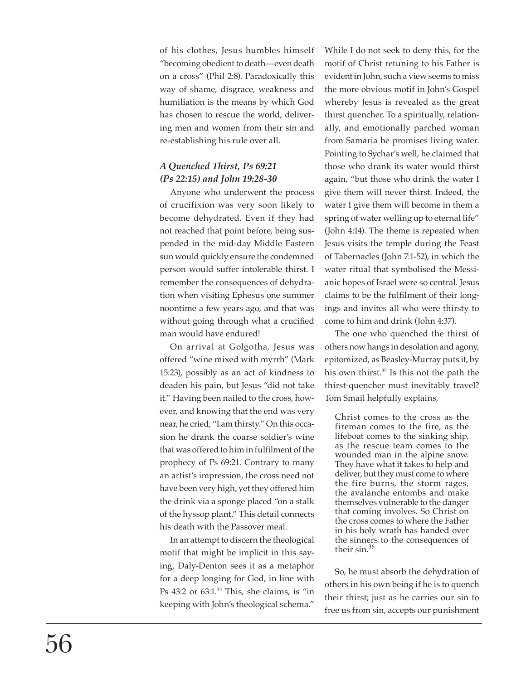of his clothes, Jesus humbles himself "becoming obedient to death—even death on a cross" (Phil 2:8). Paradoxically this way of shame, disgrace, weakness and humiliation is the means by which God has chosen to rescue the world, delivering men and women from their sin and re-establishing his rule over all.

# *A Quenched Thirst, Ps 69:21 (Ps 22:15) and John 19:28-30*

Anyone who underwent the process of crucifixion was very soon likely to become dehydrated. Even if they had not reached that point before, being suspended in the mid-day Middle Eastern sun would quickly ensure the condemned person would suffer intolerable thirst. I remember the consequences of dehydration when visiting Ephesus one summer noontime a few years ago, and that was without going through what a crucified man would have endured!

On arrival at Golgotha, Jesus was offered "wine mixed with myrrh" (Mark 15:23), possibly as an act of kindness to deaden his pain, but Jesus "did not take it." Having been nailed to the cross, however, and knowing that the end was very near, he cried, "I am thirsty." On this occasion he drank the coarse soldier's wine that was offered to him in fulfilment of the prophecy of Ps 69:21. Contrary to many an artist's impression, the cross need not have been very high, yet they offered him the drink via a sponge placed "on a stalk of the hyssop plant." This detail connects his death with the Passover meal.

In an attempt to discern the theological motif that might be implicit in this saying, Daly-Denton sees it as a metaphor for a deep longing for God, in line with Ps 43:2 or 63:1.<sup>34</sup> This, she claims, is "in keeping with John's theological schema."

While I do not seek to deny this, for the motif of Christ retuning to his Father is evident in John, such a view seems to miss the more obvious motif in John's Gospel whereby Jesus is revealed as the great thirst quencher. To a spiritually, relationally, and emotionally parched woman from Samaria he promises living water. Pointing to Sychar's well, he claimed that those who drank its water would thirst again, "but those who drink the water I give them will never thirst. Indeed, the water I give them will become in them a spring of water welling up to eternal life" (John 4:14). The theme is repeated when Jesus visits the temple during the Feast of Tabernacles (John 7:1-52), in which the water ritual that symbolised the Messianic hopes of Israel were so central. Jesus claims to be the fulfilment of their longings and invites all who were thirsty to come to him and drink (John 4:37).

The one who quenched the thirst of others now hangs in desolation and agony, epitomized, as Beasley-Murray puts it, by his own thirst.35 Is this not the path the thirst-quencher must inevitably travel? Tom Smail helpfully explains,

Christ comes to the cross as the fireman comes to the fire, as the lifeboat comes to the sinking ship, as the rescue team comes to the wounded man in the alpine snow. They have what it takes to help and deliver, but they must come to where the fire burns, the storm rages, the avalanche entombs and make themselves vulnerable to the danger that coming involves. So Christ on the cross comes to where the Father in his holy wrath has handed over the sinners to the consequences of their sin.<sup>36</sup>

So, he must absorb the dehydration of others in his own being if he is to quench their thirst; just as he carries our sin to free us from sin, accepts our punishment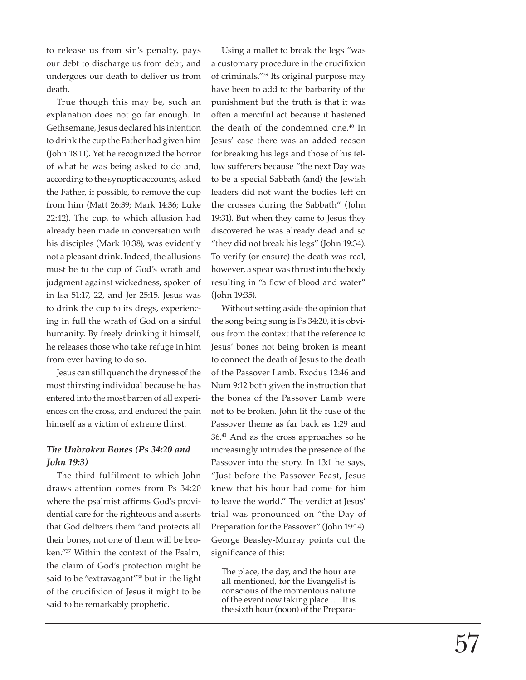to release us from sin's penalty, pays our debt to discharge us from debt, and undergoes our death to deliver us from death.

True though this may be, such an explanation does not go far enough. In Gethsemane, Jesus declared his intention to drink the cup the Father had given him (John 18:11). Yet he recognized the horror of what he was being asked to do and, according to the synoptic accounts, asked the Father, if possible, to remove the cup from him (Matt 26:39; Mark 14:36; Luke 22:42). The cup, to which allusion had already been made in conversation with his disciples (Mark 10:38), was evidently not a pleasant drink. Indeed, the allusions must be to the cup of God's wrath and judgment against wickedness, spoken of in Isa 51:17, 22, and Jer 25:15. Jesus was to drink the cup to its dregs, experiencing in full the wrath of God on a sinful humanity. By freely drinking it himself, he releases those who take refuge in him from ever having to do so.

Jesus can still quench the dryness of the most thirsting individual because he has entered into the most barren of all experiences on the cross, and endured the pain himself as a victim of extreme thirst.

# *The Unbroken Bones (Ps 34:20 and John 19:3)*

The third fulfilment to which John draws attention comes from Ps 34:20 where the psalmist affirms God's providential care for the righteous and asserts that God delivers them "and protects all their bones, not one of them will be broken."37 Within the context of the Psalm, the claim of God's protection might be said to be "extravagant"<sup>38</sup> but in the light of the crucifixion of Jesus it might to be said to be remarkably prophetic.

Using a mallet to break the legs "was a customary procedure in the crucifixion of criminals."39 Its original purpose may have been to add to the barbarity of the punishment but the truth is that it was often a merciful act because it hastened the death of the condemned one.<sup>40</sup> In Jesus' case there was an added reason for breaking his legs and those of his fellow sufferers because "the next Day was to be a special Sabbath (and) the Jewish leaders did not want the bodies left on the crosses during the Sabbath" (John 19:31). But when they came to Jesus they discovered he was already dead and so "they did not break his legs" (John 19:34). To verify (or ensure) the death was real, however, a spear was thrust into the body resulting in "a flow of blood and water" (John 19:35).

Without setting aside the opinion that the song being sung is Ps 34:20, it is obvious from the context that the reference to Jesus' bones not being broken is meant to connect the death of Jesus to the death of the Passover Lamb. Exodus 12:46 and Num 9:12 both given the instruction that the bones of the Passover Lamb were not to be broken. John lit the fuse of the Passover theme as far back as 1:29 and 36.41 And as the cross approaches so he increasingly intrudes the presence of the Passover into the story. In 13:1 he says, "Just before the Passover Feast, Jesus knew that his hour had come for him to leave the world." The verdict at Jesus' trial was pronounced on "the Day of Preparation for the Passover" (John 19:14). George Beasley-Murray points out the significance of this:

The place, the day, and the hour are all mentioned, for the Evangelist is conscious of the momentous nature of the event now taking place …. It is the sixth hour (noon) of the Prepara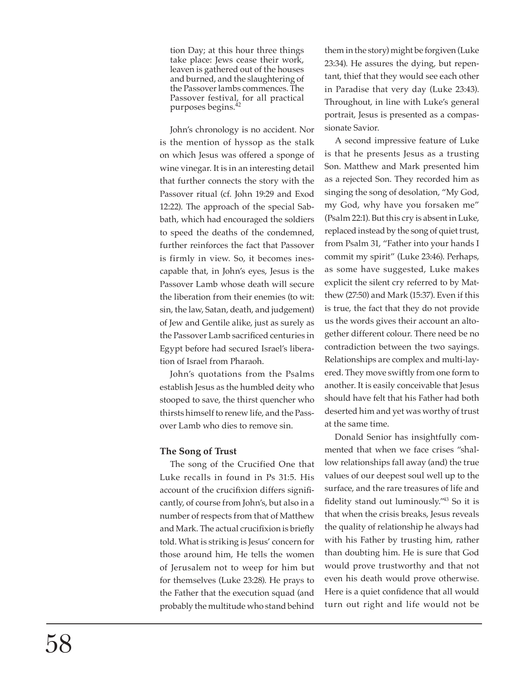tion Day; at this hour three things take place: Jews cease their work, leaven is gathered out of the houses and burned, and the slaughtering of the Passover lambs commences. The Passover festival, for all practical purposes begins.<sup>42</sup>

John's chronology is no accident. Nor is the mention of hyssop as the stalk on which Jesus was offered a sponge of wine vinegar. It is in an interesting detail that further connects the story with the Passover ritual (cf. John 19:29 and Exod 12:22). The approach of the special Sabbath, which had encouraged the soldiers to speed the deaths of the condemned, further reinforces the fact that Passover is firmly in view. So, it becomes inescapable that, in John's eyes, Jesus is the Passover Lamb whose death will secure the liberation from their enemies (to wit: sin, the law, Satan, death, and judgement) of Jew and Gentile alike, just as surely as the Passover Lamb sacrificed centuries in Egypt before had secured Israel's liberation of Israel from Pharaoh.

John's quotations from the Psalms establish Jesus as the humbled deity who stooped to save, the thirst quencher who thirsts himself to renew life, and the Passover Lamb who dies to remove sin.

# **The Song of Trust**

The song of the Crucified One that Luke recalls in found in Ps 31:5. His account of the crucifixion differs significantly, of course from John's, but also in a number of respects from that of Matthew and Mark. The actual crucifixion is briefly told. What is striking is Jesus' concern for those around him, He tells the women of Jerusalem not to weep for him but for themselves (Luke 23:28). He prays to the Father that the execution squad (and probably the multitude who stand behind

them in the story) might be forgiven (Luke 23:34). He assures the dying, but repentant, thief that they would see each other in Paradise that very day (Luke 23:43). Throughout, in line with Luke's general portrait, Jesus is presented as a compassionate Savior.

A second impressive feature of Luke is that he presents Jesus as a trusting Son. Matthew and Mark presented him as a rejected Son. They recorded him as singing the song of desolation, "My God, my God, why have you forsaken me" (Psalm 22:1). But this cry is absent in Luke, replaced instead by the song of quiet trust, from Psalm 31, "Father into your hands I commit my spirit" (Luke 23:46). Perhaps, as some have suggested, Luke makes explicit the silent cry referred to by Matthew (27:50) and Mark (15:37). Even if this is true, the fact that they do not provide us the words gives their account an altogether different colour. There need be no contradiction between the two sayings. Relationships are complex and multi-layered. They move swiftly from one form to another. It is easily conceivable that Jesus should have felt that his Father had both deserted him and yet was worthy of trust at the same time.

Donald Senior has insightfully commented that when we face crises "shallow relationships fall away (and) the true values of our deepest soul well up to the surface, and the rare treasures of life and fidelity stand out luminously."<sup>43</sup> So it is that when the crisis breaks, Jesus reveals the quality of relationship he always had with his Father by trusting him, rather than doubting him. He is sure that God would prove trustworthy and that not even his death would prove otherwise. Here is a quiet confidence that all would turn out right and life would not be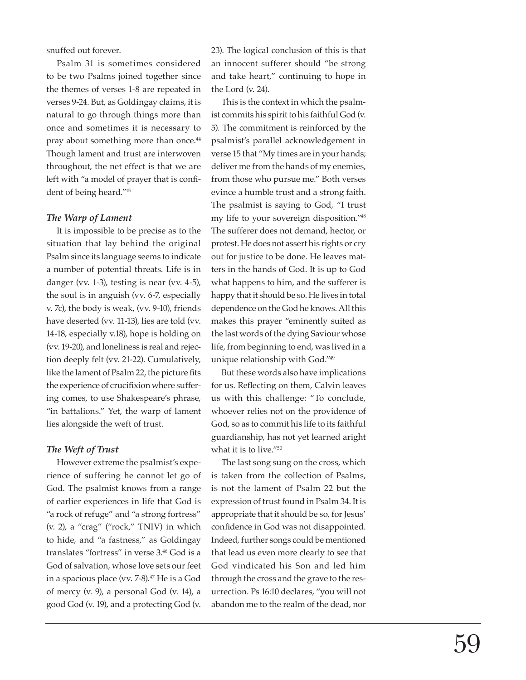snuffed out forever.

Psalm 31 is sometimes considered to be two Psalms joined together since the themes of verses 1-8 are repeated in verses 9-24. But, as Goldingay claims, it is natural to go through things more than once and sometimes it is necessary to pray about something more than once.<sup>44</sup> Though lament and trust are interwoven throughout, the net effect is that we are left with "a model of prayer that is confident of being heard."45

#### *The Warp of Lament*

It is impossible to be precise as to the situation that lay behind the original Psalm since its language seems to indicate a number of potential threats. Life is in danger (vv. 1-3), testing is near (vv. 4-5), the soul is in anguish (vv. 6-7, especially v. 7c), the body is weak, (vv. 9-10), friends have deserted (vv. 11-13), lies are told (vv. 14-18, especially v.18), hope is holding on (vv. 19-20), and loneliness is real and rejection deeply felt (vv. 21-22). Cumulatively, like the lament of Psalm 22, the picture fits the experience of crucifixion where suffering comes, to use Shakespeare's phrase, "in battalions." Yet, the warp of lament lies alongside the weft of trust.

## *The Weft of Trust*

However extreme the psalmist's experience of suffering he cannot let go of God. The psalmist knows from a range of earlier experiences in life that God is "a rock of refuge" and "a strong fortress" (v. 2), a "crag" ("rock," TNIV) in which to hide, and "a fastness," as Goldingay translates "fortress" in verse 3.<sup>46</sup> God is a God of salvation, whose love sets our feet in a spacious place (vv. 7-8).47 He is a God of mercy (v. 9), a personal God (v. 14), a good God (v. 19), and a protecting God (v.

23). The logical conclusion of this is that an innocent sufferer should "be strong and take heart," continuing to hope in the Lord (v. 24).

This is the context in which the psalmist commits his spirit to his faithful God (v. 5). The commitment is reinforced by the psalmist's parallel acknowledgement in verse 15 that "My times are in your hands; deliver me from the hands of my enemies, from those who pursue me." Both verses evince a humble trust and a strong faith. The psalmist is saying to God, "I trust my life to your sovereign disposition."48 The sufferer does not demand, hector, or protest. He does not assert his rights or cry out for justice to be done. He leaves matters in the hands of God. It is up to God what happens to him, and the sufferer is happy that it should be so. He lives in total dependence on the God he knows. All this makes this prayer "eminently suited as the last words of the dying Saviour whose life, from beginning to end, was lived in a unique relationship with God."49

But these words also have implications for us. Reflecting on them, Calvin leaves us with this challenge: "To conclude, whoever relies not on the providence of God, so as to commit his life to its faithful guardianship, has not yet learned aright what it is to live."50

The last song sung on the cross, which is taken from the collection of Psalms, is not the lament of Psalm 22 but the expression of trust found in Psalm 34. It is appropriate that it should be so, for Jesus' confidence in God was not disappointed. Indeed, further songs could be mentioned that lead us even more clearly to see that God vindicated his Son and led him through the cross and the grave to the resurrection. Ps 16:10 declares, "you will not abandon me to the realm of the dead, nor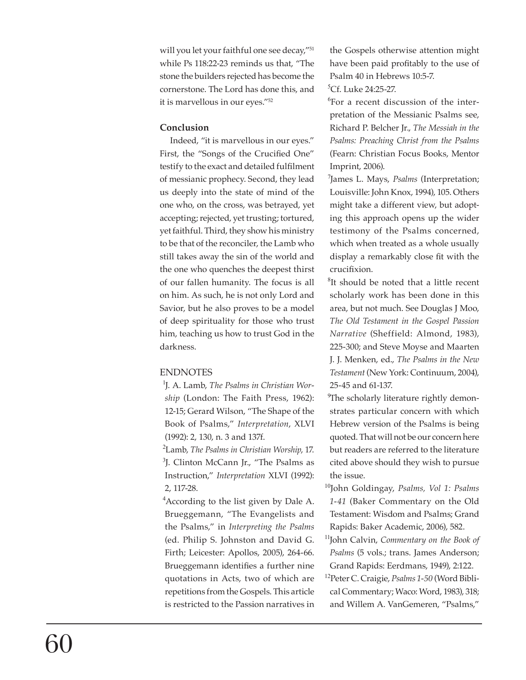will you let your faithful one see decay,"<sup>51</sup> while Ps 118:22-23 reminds us that, "The stone the builders rejected has become the cornerstone. The Lord has done this, and it is marvellous in our eyes."52

# **Conclusion**

Indeed, "it is marvellous in our eyes." First, the "Songs of the Crucified One" testify to the exact and detailed fulfilment of messianic prophecy. Second, they lead us deeply into the state of mind of the one who, on the cross, was betrayed, yet accepting; rejected, yet trusting; tortured, yet faithful. Third, they show his ministry to be that of the reconciler, the Lamb who still takes away the sin of the world and the one who quenches the deepest thirst of our fallen humanity. The focus is all on him. As such, he is not only Lord and Savior, but he also proves to be a model of deep spirituality for those who trust him, teaching us how to trust God in the darkness.

# **ENDNOTES**

<sup>1</sup>J. A. Lamb, *The Psalms in Christian Worship* (London: The Faith Press, 1962): 12-15; Gerard Wilson, "The Shape of the Book of Psalms," *Interpretation*, XLVI (1992): 2, 130, n. 3 and 137f.

<sup>2</sup>Lamb, *The Psalms in Christian Worship*, 17. <sup>3</sup>J. Clinton McCann Jr., "The Psalms as Instruction," *Interpretation* XLVI (1992): 2, 117-28.

<sup>4</sup> According to the list given by Dale A. Brueggemann, "The Evangelists and the Psalms," in *Interpreting the Psalms*  (ed. Philip S. Johnston and David G. Firth; Leicester: Apollos, 2005), 264-66. Brueggemann identifies a further nine quotations in Acts, two of which are repetitions from the Gospels. This article is restricted to the Passion narratives in

the Gospels otherwise attention might have been paid profitably to the use of Psalm 40 in Hebrews 10:5-7. <sup>5</sup>Cf. Luke 24:25-27.

<sup>6</sup>For a recent discussion of the interpretation of the Messianic Psalms see, Richard P. Belcher Jr., *The Messiah in the Psalms: Preaching Christ from the Psalms* (Fearn: Christian Focus Books, Mentor Imprint, 2006).

<sup>7</sup>James L. Mays, *Psalms* (Interpretation; Louisville: John Knox, 1994), 105. Others might take a different view, but adopting this approach opens up the wider testimony of the Psalms concerned, which when treated as a whole usually display a remarkably close fit with the crucifixion.

<sup>8</sup>It should be noted that a little recent scholarly work has been done in this area, but not much. See Douglas J Moo, *The Old Testament in the Gospel Passion Narrative* (Sheffield: Almond, 1983), 225-300; and Steve Moyse and Maarten J. J. Menken, ed., *The Psalms in the New Testament* (New York: Continuum, 2004), 25-45 and 61-137.

<sup>9</sup>The scholarly literature rightly demonstrates particular concern with which Hebrew version of the Psalms is being quoted. That will not be our concern here but readers are referred to the literature cited above should they wish to pursue the issue.

- <sup>10</sup>John Goldingay, *Psalms, Vol 1: Psalms 1-41* (Baker Commentary on the Old Testament: Wisdom and Psalms; Grand Rapids: Baker Academic, 2006), 582.
- <sup>11</sup>John Calvin, *Commentary on the Book of Psalms* (5 vols.; trans. James Anderson; Grand Rapids: Eerdmans, 1949), 2:122.
- <sup>12</sup>Peter C. Craigie, *Psalms 1-50* (Word Biblical Commentary; Waco: Word, 1983), 318; and Willem A. VanGemeren, "Psalms,"